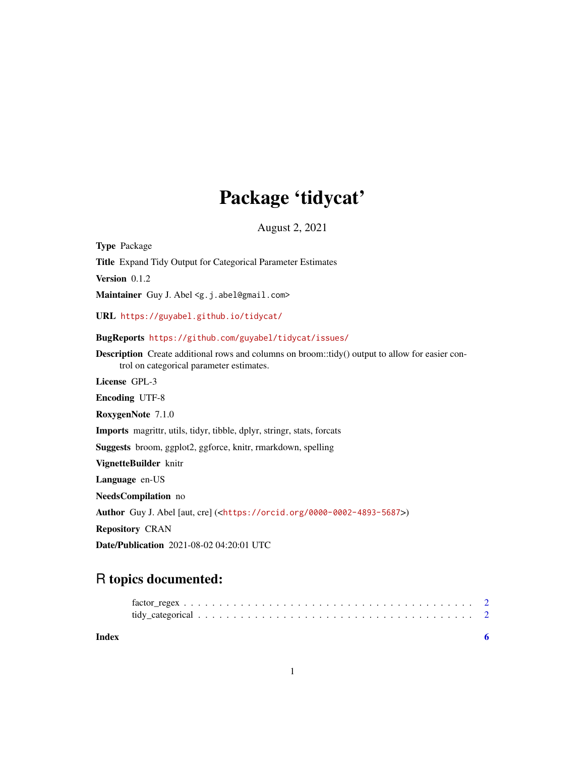## Package 'tidycat'

August 2, 2021

<span id="page-0-0"></span>Type Package Title Expand Tidy Output for Categorical Parameter Estimates Version 0.1.2 Maintainer Guy J. Abel <g.j.abel@gmail.com> URL <https://guyabel.github.io/tidycat/> BugReports <https://github.com/guyabel/tidycat/issues/> Description Create additional rows and columns on broom::tidy() output to allow for easier control on categorical parameter estimates. License GPL-3 Encoding UTF-8 RoxygenNote 7.1.0 Imports magrittr, utils, tidyr, tibble, dplyr, stringr, stats, forcats Suggests broom, ggplot2, ggforce, knitr, rmarkdown, spelling VignetteBuilder knitr Language en-US NeedsCompilation no Author Guy J. Abel [aut, cre] (<<https://orcid.org/0000-0002-4893-5687>>) Repository CRAN Date/Publication 2021-08-02 04:20:01 UTC

### R topics documented:

| Index |  |  |  |  |  |  |  |  |  |  |  |  |  |  |  |  |  |
|-------|--|--|--|--|--|--|--|--|--|--|--|--|--|--|--|--|--|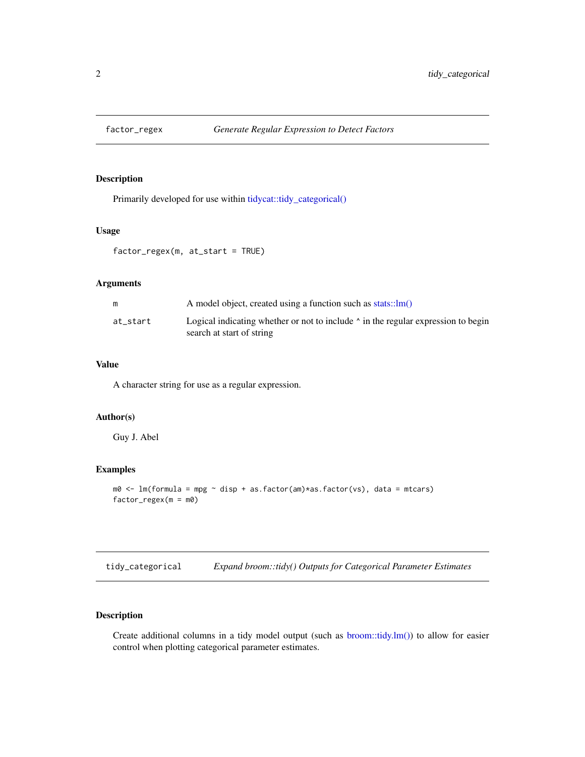<span id="page-1-0"></span>

#### Description

Primarily developed for use within [tidycat::tidy\\_categorical\(\)](#page-0-0)

#### Usage

factor\_regex(m, at\_start = TRUE)

#### Arguments

| m        | A model object, created using a function such as $stats::lm()$                                                       |
|----------|----------------------------------------------------------------------------------------------------------------------|
| at start | Logical indicating whether or not to include $\land$ in the regular expression to begin<br>search at start of string |

#### Value

A character string for use as a regular expression.

#### Author(s)

Guy J. Abel

#### Examples

```
m0 <- lm(formula = mpg ~ disp + as.factor(am)*as.factor(vs), data = mtcars)
factor_regex(m = m0)
```
tidy\_categorical *Expand broom::tidy() Outputs for Categorical Parameter Estimates*

#### Description

Create additional columns in a tidy model output (such as [broom::tidy.lm\(\)\)](#page-0-0) to allow for easier control when plotting categorical parameter estimates.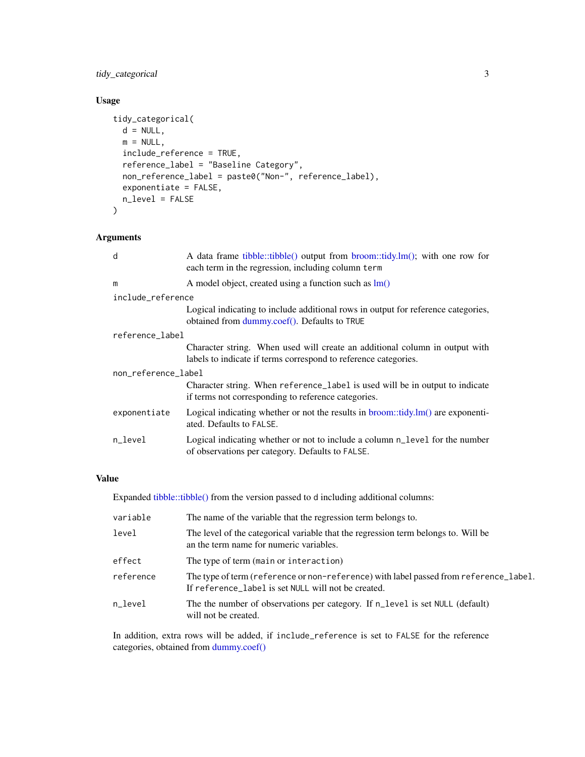#### <span id="page-2-0"></span>tidy\_categorical 3

#### Usage

```
tidy_categorical(
 d = NULL,m = NULL,include_reference = TRUE,
 reference_label = "Baseline Category",
 non_reference_label = paste0("Non-", reference_label),
 exponentiate = FALSE,
 n_level = FALSE
)
```
#### Arguments

| d                   | A data frame tibble::tibble() output from broom::tidy.lm(); with one row for<br>each term in the regression, including column term             |  |  |  |  |  |  |  |
|---------------------|------------------------------------------------------------------------------------------------------------------------------------------------|--|--|--|--|--|--|--|
| m                   | A model object, created using a function such as $lm()$                                                                                        |  |  |  |  |  |  |  |
| include_reference   |                                                                                                                                                |  |  |  |  |  |  |  |
|                     | Logical indicating to include additional rows in output for reference categories,<br>obtained from dummy.coef(). Defaults to TRUE              |  |  |  |  |  |  |  |
| reference_label     |                                                                                                                                                |  |  |  |  |  |  |  |
|                     | Character string. When used will create an additional column in output with<br>labels to indicate if terms correspond to reference categories. |  |  |  |  |  |  |  |
| non_reference_label |                                                                                                                                                |  |  |  |  |  |  |  |
|                     | Character string. When reference_label is used will be in output to indicate<br>if terms not corresponding to reference categories.            |  |  |  |  |  |  |  |
| exponentiate        | Logical indicating whether or not the results in $b$ room::tidy.lm $()$ are exponenti-<br>ated. Defaults to FALSE.                             |  |  |  |  |  |  |  |
| n_level             | Logical indicating whether or not to include a column n_level for the number<br>of observations per category. Defaults to FALSE.               |  |  |  |  |  |  |  |
|                     |                                                                                                                                                |  |  |  |  |  |  |  |

#### Value

Expanded [tibble::tibble\(\)](#page-0-0) from the version passed to d including additional columns:

| variable  | The name of the variable that the regression term belongs to.                                                                                |
|-----------|----------------------------------------------------------------------------------------------------------------------------------------------|
| level     | The level of the categorical variable that the regression term belongs to. Will be<br>an the term name for numeric variables.                |
| effect    | The type of term (main or interaction)                                                                                                       |
| reference | The type of term (reference or non-reference) with label passed from reference_label.<br>If reference_label is set NULL will not be created. |
| n level   | The the number of observations per category. If n_level is set NULL (default)<br>will not be created.                                        |

In addition, extra rows will be added, if include\_reference is set to FALSE for the reference categories, obtained from [dummy.coef\(\)](#page-0-0)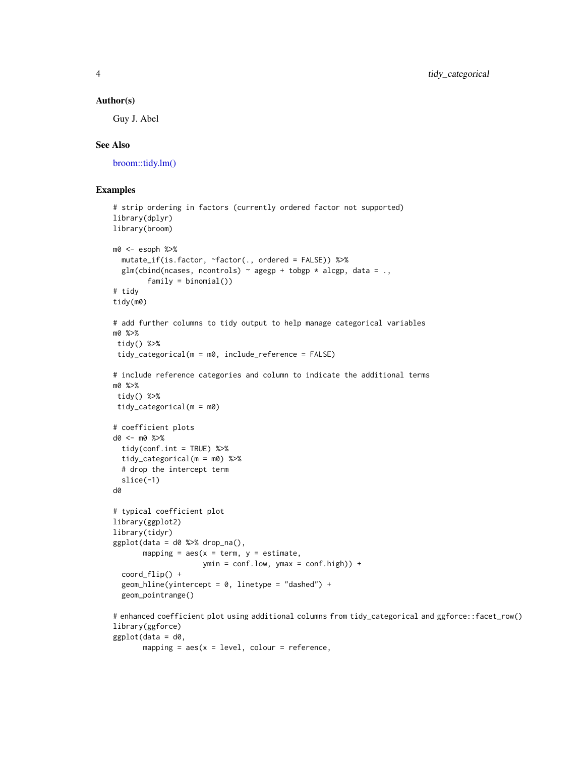#### <span id="page-3-0"></span>Author(s)

Guy J. Abel

#### See Also

[broom::tidy.lm\(\)](#page-0-0)

#### Examples

```
# strip ordering in factors (currently ordered factor not supported)
library(dplyr)
library(broom)
m0 <- esoph %>%
  mutate_if(is.factor, ~factor(., ordered = FALSE)) %>%
  glm(clind(ncases, ncontrols) \sim agegp + tobgp * alcgp, data = .family = binomial())
# tidy
tidy(m0)
# add further columns to tidy output to help manage categorical variables
m0 %>%
tidy() %>%
tidy_categorical(m = m0, include_reference = FALSE)
# include reference categories and column to indicate the additional terms
m0 %>%
tidy() %>%
 tidy_categorical(m = m0)
# coefficient plots
d0 <- m0 %>%
  tidy(conf.int = TRUE) %>%
  tidy_categorical(m = m0) %>%
  # drop the intercept term
  slice(-1)
d0
# typical coefficient plot
library(ggplot2)
library(tidyr)
ggplot(data = d0 % %>% drop_na(),
       mapping = aes(x = term, y = estimate,ymin = conf.lower, j ymax = conf , high) +
  coord_flip() +
  geom_hline(yintercept = 0, linetype = "dashed") +
  geom_pointrange()
# enhanced coefficient plot using additional columns from tidy_categorical and ggforce::facet_row()
library(ggforce)
ggplot(data = d0,
```

```
mapping = aes(x = level, colour = reference,
```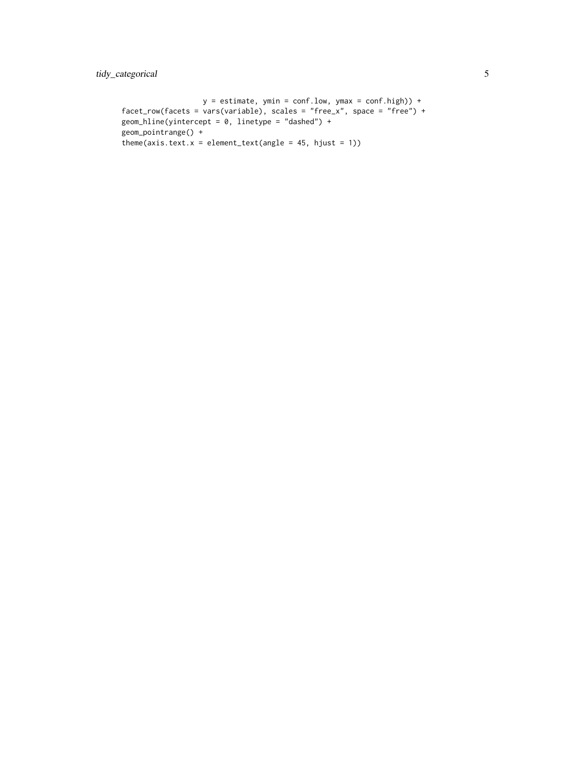```
y = estimate, ymin = conf.low, ymax = conf.high)) +
facet_row(facets = vars(variable), scales = "free_x", space = "free") +
geom_hline(yintercept = 0, linetype = "dashed") +
geom_pointrange() +
theme(axis.text.x = element_text(angle = 45, hjust = 1))
```